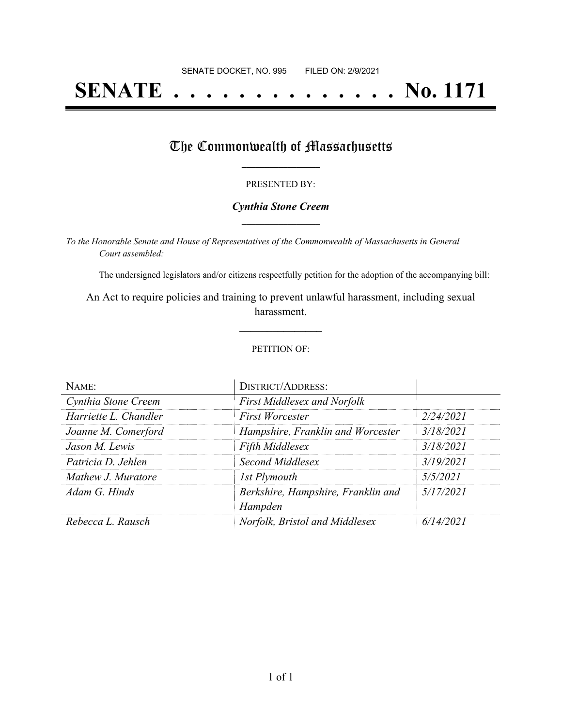# **SENATE . . . . . . . . . . . . . . No. 1171**

### The Commonwealth of Massachusetts

#### PRESENTED BY:

#### *Cynthia Stone Creem* **\_\_\_\_\_\_\_\_\_\_\_\_\_\_\_\_\_**

*To the Honorable Senate and House of Representatives of the Commonwealth of Massachusetts in General Court assembled:*

The undersigned legislators and/or citizens respectfully petition for the adoption of the accompanying bill:

An Act to require policies and training to prevent unlawful harassment, including sexual harassment.

**\_\_\_\_\_\_\_\_\_\_\_\_\_\_\_**

#### PETITION OF:

| NAME:                 | <b>DISTRICT/ADDRESS:</b>                      |           |
|-----------------------|-----------------------------------------------|-----------|
| Cynthia Stone Creem   | <b>First Middlesex and Norfolk</b>            |           |
| Harriette L. Chandler | <b>First Worcester</b>                        | 2/24/2021 |
| Joanne M. Comerford   | Hampshire, Franklin and Worcester             | 3/18/2021 |
| Jason M. Lewis        | <b>Fifth Middlesex</b>                        | 3/18/2021 |
| Patricia D. Jehlen    | Second Middlesex                              | 3/19/2021 |
| Mathew J. Muratore    | 1st Plymouth                                  | 5/5/2021  |
| Adam G. Hinds         | Berkshire, Hampshire, Franklin and<br>Hampden | 5/17/2021 |
| Rebecca L. Rausch     | Norfolk, Bristol and Middlesex                | 6/14/2021 |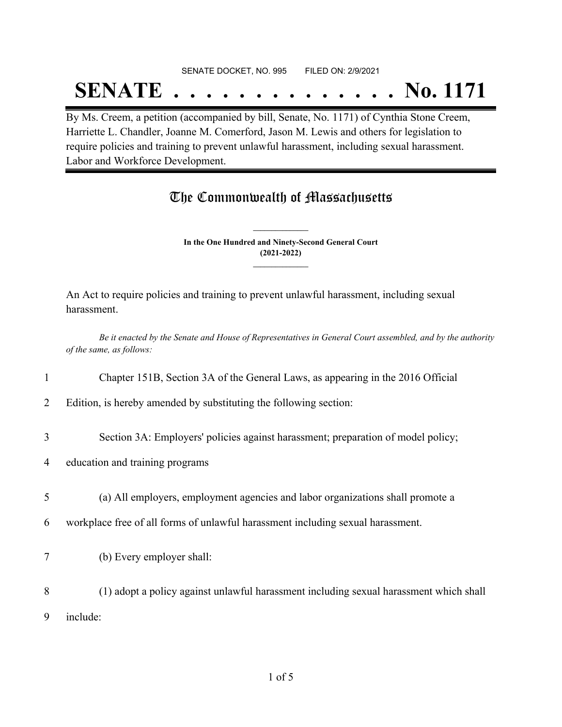#### SENATE DOCKET, NO. 995 FILED ON: 2/9/2021

## **SENATE . . . . . . . . . . . . . . No. 1171**

By Ms. Creem, a petition (accompanied by bill, Senate, No. 1171) of Cynthia Stone Creem, Harriette L. Chandler, Joanne M. Comerford, Jason M. Lewis and others for legislation to require policies and training to prevent unlawful harassment, including sexual harassment. Labor and Workforce Development.

## The Commonwealth of Massachusetts

**In the One Hundred and Ninety-Second General Court (2021-2022) \_\_\_\_\_\_\_\_\_\_\_\_\_\_\_**

**\_\_\_\_\_\_\_\_\_\_\_\_\_\_\_**

An Act to require policies and training to prevent unlawful harassment, including sexual harassment.

Be it enacted by the Senate and House of Representatives in General Court assembled, and by the authority *of the same, as follows:*

1 Chapter 151B, Section 3A of the General Laws, as appearing in the 2016 Official

2 Edition, is hereby amended by substituting the following section:

3 Section 3A: Employers' policies against harassment; preparation of model policy;

- 4 education and training programs
- 5 (a) All employers, employment agencies and labor organizations shall promote a
- 6 workplace free of all forms of unlawful harassment including sexual harassment.
- 7 (b) Every employer shall:
- 8 (1) adopt a policy against unlawful harassment including sexual harassment which shall 9 include: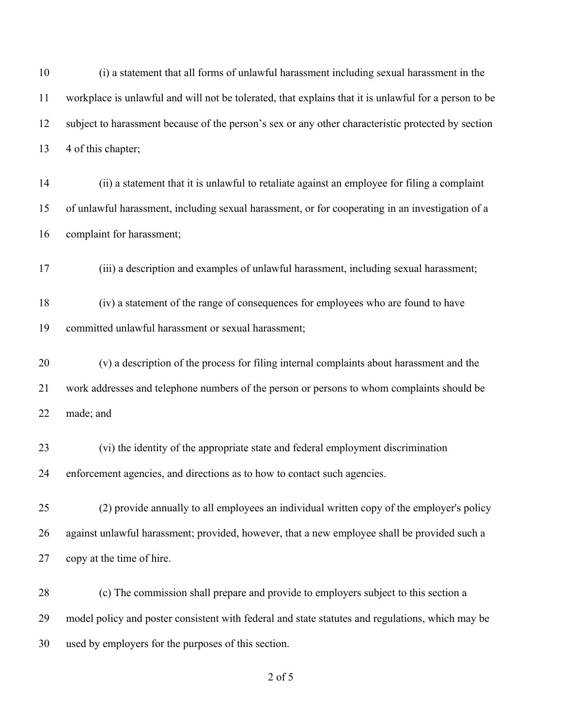(i) a statement that all forms of unlawful harassment including sexual harassment in the workplace is unlawful and will not be tolerated, that explains that it is unlawful for a person to be subject to harassment because of the person's sex or any other characteristic protected by section 13 4 of this chapter;

- (ii) a statement that it is unlawful to retaliate against an employee for filing a complaint of unlawful harassment, including sexual harassment, or for cooperating in an investigation of a complaint for harassment;
- (iii) a description and examples of unlawful harassment, including sexual harassment;

 (iv) a statement of the range of consequences for employees who are found to have committed unlawful harassment or sexual harassment;

 (v) a description of the process for filing internal complaints about harassment and the work addresses and telephone numbers of the person or persons to whom complaints should be made; and

- (vi) the identity of the appropriate state and federal employment discrimination enforcement agencies, and directions as to how to contact such agencies.
- (2) provide annually to all employees an individual written copy of the employer's policy against unlawful harassment; provided, however, that a new employee shall be provided such a copy at the time of hire.

 (c) The commission shall prepare and provide to employers subject to this section a model policy and poster consistent with federal and state statutes and regulations, which may be used by employers for the purposes of this section.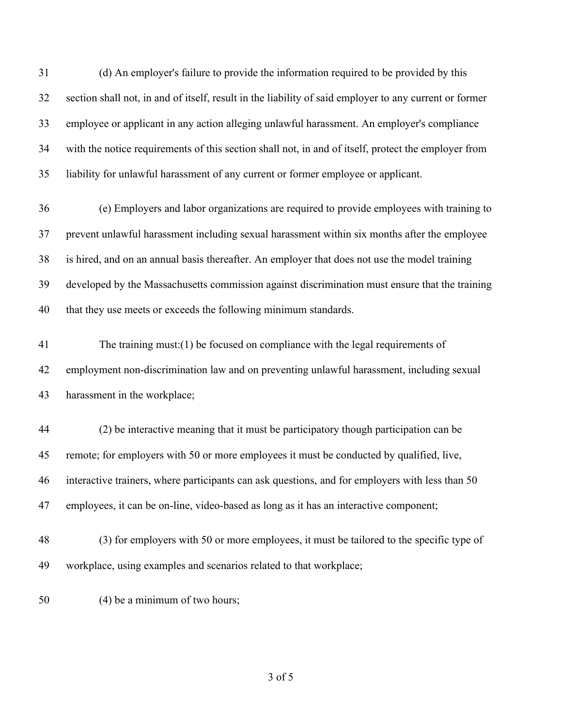(d) An employer's failure to provide the information required to be provided by this section shall not, in and of itself, result in the liability of said employer to any current or former employee or applicant in any action alleging unlawful harassment. An employer's compliance with the notice requirements of this section shall not, in and of itself, protect the employer from liability for unlawful harassment of any current or former employee or applicant.

 (e) Employers and labor organizations are required to provide employees with training to prevent unlawful harassment including sexual harassment within six months after the employee is hired, and on an annual basis thereafter. An employer that does not use the model training developed by the Massachusetts commission against discrimination must ensure that the training that they use meets or exceeds the following minimum standards.

 The training must:(1) be focused on compliance with the legal requirements of employment non-discrimination law and on preventing unlawful harassment, including sexual harassment in the workplace;

 (2) be interactive meaning that it must be participatory though participation can be remote; for employers with 50 or more employees it must be conducted by qualified, live, interactive trainers, where participants can ask questions, and for employers with less than 50 employees, it can be on-line, video-based as long as it has an interactive component;

 (3) for employers with 50 or more employees, it must be tailored to the specific type of workplace, using examples and scenarios related to that workplace;

(4) be a minimum of two hours;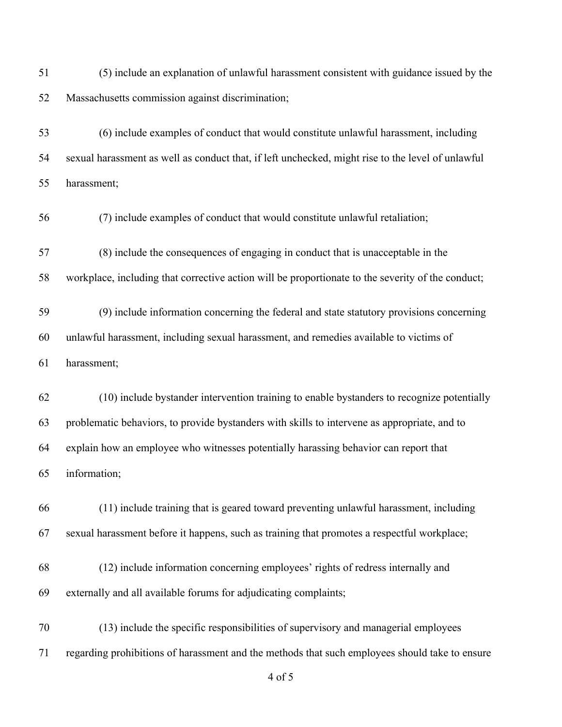(5) include an explanation of unlawful harassment consistent with guidance issued by the Massachusetts commission against discrimination;

 (6) include examples of conduct that would constitute unlawful harassment, including sexual harassment as well as conduct that, if left unchecked, might rise to the level of unlawful harassment;

(7) include examples of conduct that would constitute unlawful retaliation;

(8) include the consequences of engaging in conduct that is unacceptable in the

workplace, including that corrective action will be proportionate to the severity of the conduct;

 (9) include information concerning the federal and state statutory provisions concerning unlawful harassment, including sexual harassment, and remedies available to victims of harassment;

 (10) include bystander intervention training to enable bystanders to recognize potentially problematic behaviors, to provide bystanders with skills to intervene as appropriate, and to explain how an employee who witnesses potentially harassing behavior can report that information;

 (11) include training that is geared toward preventing unlawful harassment, including sexual harassment before it happens, such as training that promotes a respectful workplace;

 (12) include information concerning employees' rights of redress internally and externally and all available forums for adjudicating complaints;

 (13) include the specific responsibilities of supervisory and managerial employees regarding prohibitions of harassment and the methods that such employees should take to ensure